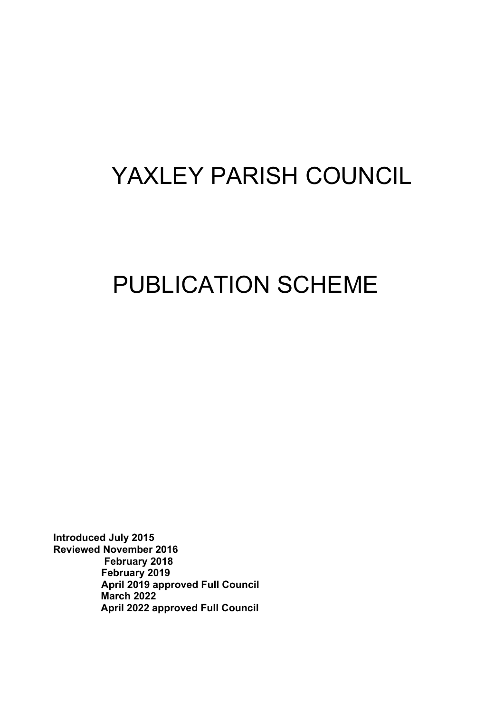# YAXLEY PARISH COUNCIL

# PUBLICATION SCHEME

**Introduced July 2015 Reviewed November 2016 February 2018 February 2019 April 2019 approved Full Council March 2022 April 2022 approved Full Council**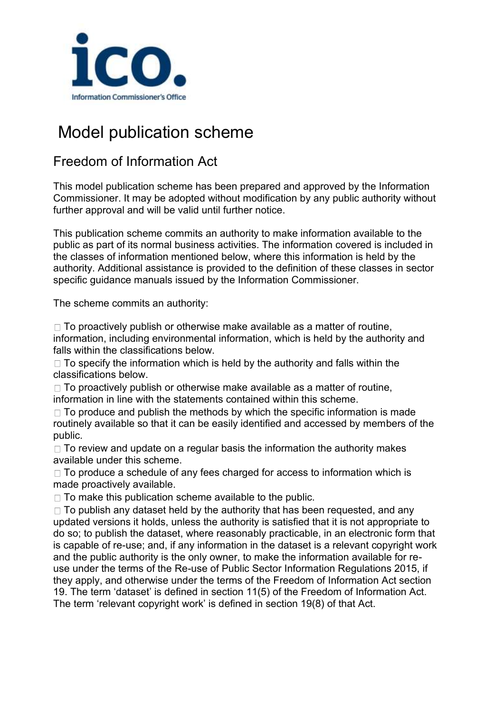

# Model publication scheme

### Freedom of Information Act

This model publication scheme has been prepared and approved by the Information Commissioner. It may be adopted without modification by any public authority without further approval and will be valid until further notice.

This publication scheme commits an authority to make information available to the public as part of its normal business activities. The information covered is included in the classes of information mentioned below, where this information is held by the authority. Additional assistance is provided to the definition of these classes in sector specific guidance manuals issued by the Information Commissioner.

The scheme commits an authority:

 $\Box$  To proactively publish or otherwise make available as a matter of routine, information, including environmental information, which is held by the authority and falls within the classifications below.

 $\Box$  To specify the information which is held by the authority and falls within the classifications below.

 $\Box$  To proactively publish or otherwise make available as a matter of routine, information in line with the statements contained within this scheme.

 $\Box$  To produce and publish the methods by which the specific information is made routinely available so that it can be easily identified and accessed by members of the public.

 $\Box$  To review and update on a regular basis the information the authority makes available under this scheme.

 $\Box$  To produce a schedule of any fees charged for access to information which is made proactively available.

 $\Box$  To make this publication scheme available to the public.

 $\Box$  To publish any dataset held by the authority that has been requested, and any updated versions it holds, unless the authority is satisfied that it is not appropriate to do so; to publish the dataset, where reasonably practicable, in an electronic form that is capable of re-use; and, if any information in the dataset is a relevant copyright work and the public authority is the only owner, to make the information available for reuse under the terms of the Re-use of Public Sector Information Regulations 2015, if they apply, and otherwise under the terms of the Freedom of Information Act section 19. The term 'dataset' is defined in section 11(5) of the Freedom of Information Act. The term 'relevant copyright work' is defined in section 19(8) of that Act.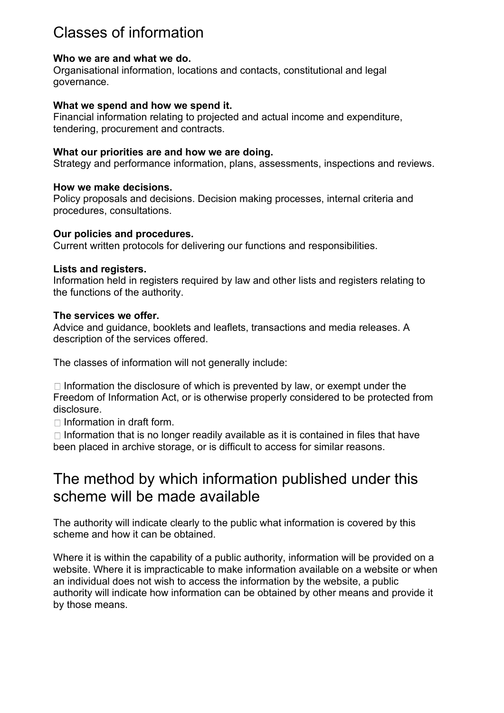# Classes of information

#### **Who we are and what we do.**

Organisational information, locations and contacts, constitutional and legal governance.

#### **What we spend and how we spend it.**

Financial information relating to projected and actual income and expenditure, tendering, procurement and contracts.

#### **What our priorities are and how we are doing.**

Strategy and performance information, plans, assessments, inspections and reviews.

#### **How we make decisions.**

Policy proposals and decisions. Decision making processes, internal criteria and procedures, consultations.

#### **Our policies and procedures.**

Current written protocols for delivering our functions and responsibilities.

#### **Lists and registers.**

Information held in registers required by law and other lists and registers relating to the functions of the authority.

#### **The services we offer.**

Advice and guidance, booklets and leaflets, transactions and media releases. A description of the services offered.

The classes of information will not generally include:

 $\Box$  Information the disclosure of which is prevented by law, or exempt under the Freedom of Information Act, or is otherwise properly considered to be protected from disclosure.

 $\Box$  Information in draft form.

 $\Box$  Information that is no longer readily available as it is contained in files that have been placed in archive storage, or is difficult to access for similar reasons.

# The method by which information published under this scheme will be made available

The authority will indicate clearly to the public what information is covered by this scheme and how it can be obtained.

Where it is within the capability of a public authority, information will be provided on a website. Where it is impracticable to make information available on a website or when an individual does not wish to access the information by the website, a public authority will indicate how information can be obtained by other means and provide it by those means.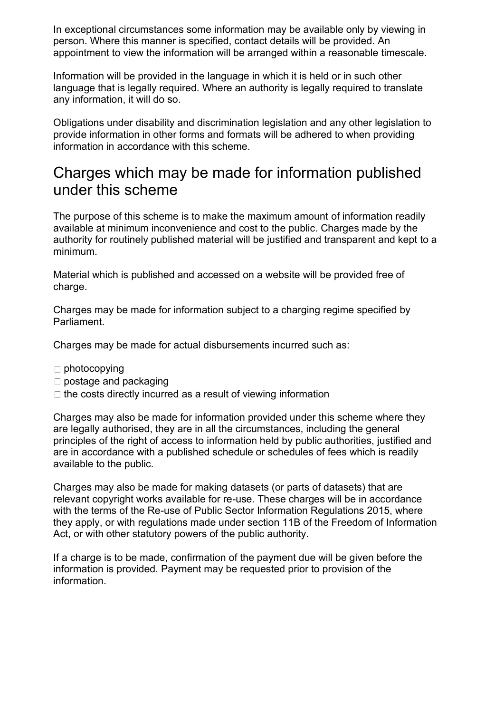In exceptional circumstances some information may be available only by viewing in person. Where this manner is specified, contact details will be provided. An appointment to view the information will be arranged within a reasonable timescale.

Information will be provided in the language in which it is held or in such other language that is legally required. Where an authority is legally required to translate any information, it will do so.

Obligations under disability and discrimination legislation and any other legislation to provide information in other forms and formats will be adhered to when providing information in accordance with this scheme.

## Charges which may be made for information published under this scheme

The purpose of this scheme is to make the maximum amount of information readily available at minimum inconvenience and cost to the public. Charges made by the authority for routinely published material will be justified and transparent and kept to a minimum.

Material which is published and accessed on a website will be provided free of charge.

Charges may be made for information subject to a charging regime specified by Parliament.

Charges may be made for actual disbursements incurred such as:

- $\Box$  photocopying
- □ postage and packaging
- $\Box$  the costs directly incurred as a result of viewing information

Charges may also be made for information provided under this scheme where they are legally authorised, they are in all the circumstances, including the general principles of the right of access to information held by public authorities, justified and are in accordance with a published schedule or schedules of fees which is readily available to the public.

Charges may also be made for making datasets (or parts of datasets) that are relevant copyright works available for re-use. These charges will be in accordance with the terms of the Re-use of Public Sector Information Regulations 2015, where they apply, or with regulations made under section 11B of the Freedom of Information Act, or with other statutory powers of the public authority.

If a charge is to be made, confirmation of the payment due will be given before the information is provided. Payment may be requested prior to provision of the information.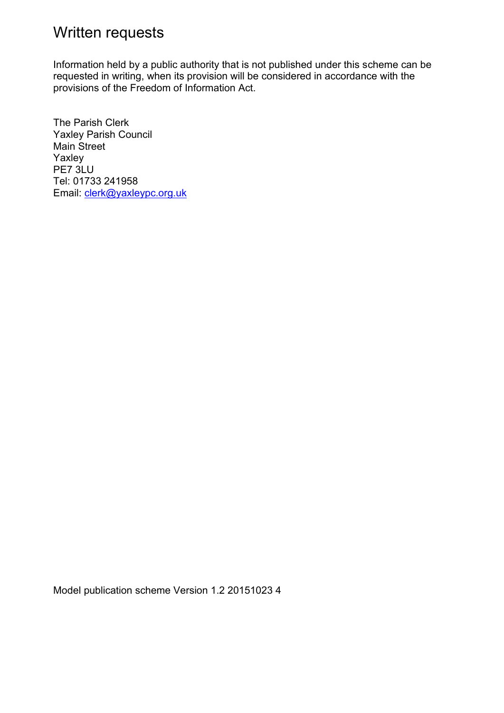# Written requests

Information held by a public authority that is not published under this scheme can be requested in writing, when its provision will be considered in accordance with the provisions of the Freedom of Information Act.

The Parish Clerk Yaxley Parish Council Main Street Yaxley PE7 3LU Tel: 01733 241958 Email: [clerk@yaxleypc.org.uk](mailto:clerk@yaxleypc.org.uk)

Model publication scheme Version 1.2 20151023 4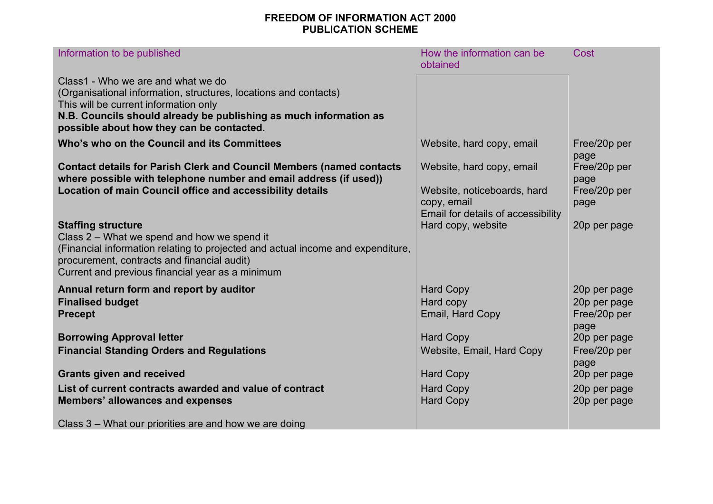#### **FREEDOM OF INFORMATION ACT 2000 PUBLICATION SCHEME**

| Information to be published                                                                                                                                                                                                                                       | How the information can be<br>obtained                                           | Cost                                         |
|-------------------------------------------------------------------------------------------------------------------------------------------------------------------------------------------------------------------------------------------------------------------|----------------------------------------------------------------------------------|----------------------------------------------|
| Class1 - Who we are and what we do<br>(Organisational information, structures, locations and contacts)<br>This will be current information only<br>N.B. Councils should already be publishing as much information as<br>possible about how they can be contacted. |                                                                                  |                                              |
| Who's who on the Council and its Committees                                                                                                                                                                                                                       | Website, hard copy, email                                                        | Free/20p per<br>page                         |
| <b>Contact details for Parish Clerk and Council Members (named contacts</b><br>where possible with telephone number and email address (if used))                                                                                                                  | Website, hard copy, email                                                        | Free/20p per<br>page                         |
| <b>Location of main Council office and accessibility details</b>                                                                                                                                                                                                  | Website, noticeboards, hard<br>copy, email<br>Email for details of accessibility | Free/20p per<br>page                         |
| <b>Staffing structure</b><br>Class 2 – What we spend and how we spend it<br>(Financial information relating to projected and actual income and expenditure,<br>procurement, contracts and financial audit)<br>Current and previous financial year as a minimum    | Hard copy, website                                                               | 20p per page                                 |
| Annual return form and report by auditor                                                                                                                                                                                                                          | <b>Hard Copy</b>                                                                 | 20p per page                                 |
| <b>Finalised budget</b><br><b>Precept</b>                                                                                                                                                                                                                         | Hard copy<br>Email, Hard Copy                                                    | 20p per page<br>Free/20p per                 |
| <b>Borrowing Approval letter</b><br><b>Financial Standing Orders and Regulations</b>                                                                                                                                                                              | <b>Hard Copy</b><br>Website, Email, Hard Copy                                    | page<br>20p per page<br>Free/20p per<br>page |
| <b>Grants given and received</b>                                                                                                                                                                                                                                  | <b>Hard Copy</b>                                                                 | 20p per page                                 |
| List of current contracts awarded and value of contract<br><b>Members' allowances and expenses</b>                                                                                                                                                                | <b>Hard Copy</b><br><b>Hard Copy</b>                                             | 20p per page<br>20p per page                 |
| Class 3 – What our priorities are and how we are doing                                                                                                                                                                                                            |                                                                                  |                                              |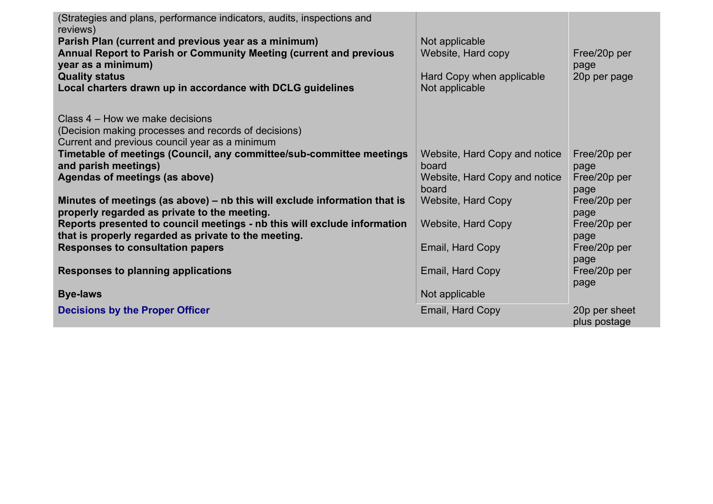| (Strategies and plans, performance indicators, audits, inspections and<br>reviews) |                               |               |
|------------------------------------------------------------------------------------|-------------------------------|---------------|
| Parish Plan (current and previous year as a minimum)                               | Not applicable                |               |
| Annual Report to Parish or Community Meeting (current and previous                 | Website, Hard copy            | Free/20p per  |
|                                                                                    |                               |               |
| year as a minimum)                                                                 |                               | page          |
| <b>Quality status</b>                                                              | Hard Copy when applicable     | 20p per page  |
| Local charters drawn up in accordance with DCLG guidelines                         | Not applicable                |               |
|                                                                                    |                               |               |
| Class 4 – How we make decisions                                                    |                               |               |
| (Decision making processes and records of decisions)                               |                               |               |
|                                                                                    |                               |               |
| Current and previous council year as a minimum                                     |                               |               |
| Timetable of meetings (Council, any committee/sub-committee meetings               | Website, Hard Copy and notice | Free/20p per  |
| and parish meetings)                                                               | board                         | page          |
| Agendas of meetings (as above)                                                     | Website, Hard Copy and notice | Free/20p per  |
|                                                                                    | board                         | page          |
| Minutes of meetings (as above) – nb this will exclude information that is          | <b>Website, Hard Copy</b>     | Free/20p per  |
|                                                                                    |                               |               |
| properly regarded as private to the meeting.                                       |                               | page          |
| Reports presented to council meetings - nb this will exclude information           | <b>Website, Hard Copy</b>     | Free/20p per  |
| that is properly regarded as private to the meeting.                               |                               | page          |
| <b>Responses to consultation papers</b>                                            | Email, Hard Copy              | Free/20p per  |
|                                                                                    |                               | page          |
| <b>Responses to planning applications</b>                                          | Email, Hard Copy              | Free/20p per  |
|                                                                                    |                               |               |
|                                                                                    |                               | page          |
| <b>Bye-laws</b>                                                                    | Not applicable                |               |
| <b>Decisions by the Proper Officer</b>                                             | Email, Hard Copy              | 20p per sheet |
|                                                                                    |                               | plus postage  |
|                                                                                    |                               |               |

 $\mathbf{L}$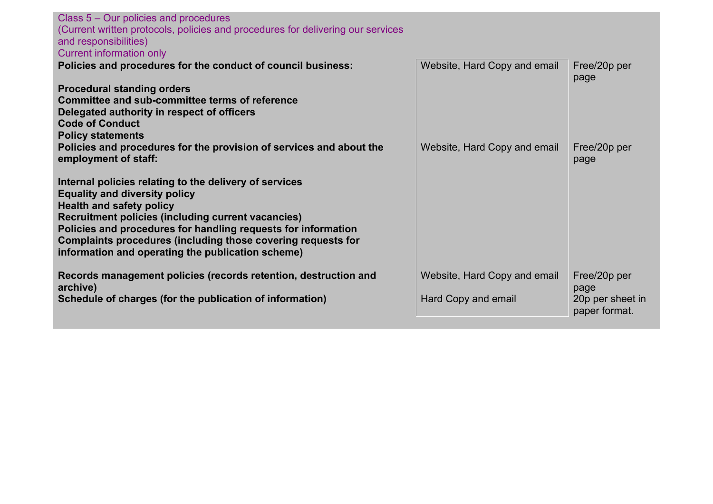| Class 5 – Our policies and procedures<br>(Current written protocols, policies and procedures for delivering our services<br>and responsibilities)<br><b>Current information only</b> |                              |                                   |
|--------------------------------------------------------------------------------------------------------------------------------------------------------------------------------------|------------------------------|-----------------------------------|
| Policies and procedures for the conduct of council business:                                                                                                                         | Website, Hard Copy and email | Free/20p per                      |
|                                                                                                                                                                                      |                              | page                              |
| <b>Procedural standing orders</b>                                                                                                                                                    |                              |                                   |
| Committee and sub-committee terms of reference                                                                                                                                       |                              |                                   |
| Delegated authority in respect of officers                                                                                                                                           |                              |                                   |
| <b>Code of Conduct</b>                                                                                                                                                               |                              |                                   |
| <b>Policy statements</b><br>Policies and procedures for the provision of services and about the                                                                                      | Website, Hard Copy and email | Free/20p per                      |
| employment of staff:                                                                                                                                                                 |                              | page                              |
|                                                                                                                                                                                      |                              |                                   |
| Internal policies relating to the delivery of services                                                                                                                               |                              |                                   |
| <b>Equality and diversity policy</b>                                                                                                                                                 |                              |                                   |
| <b>Health and safety policy</b><br><b>Recruitment policies (including current vacancies)</b>                                                                                         |                              |                                   |
| Policies and procedures for handling requests for information                                                                                                                        |                              |                                   |
| Complaints procedures (including those covering requests for                                                                                                                         |                              |                                   |
| information and operating the publication scheme)                                                                                                                                    |                              |                                   |
|                                                                                                                                                                                      |                              |                                   |
| Records management policies (records retention, destruction and                                                                                                                      | Website, Hard Copy and email | Free/20p per                      |
| archive)                                                                                                                                                                             |                              | page                              |
| Schedule of charges (for the publication of information)                                                                                                                             | Hard Copy and email          | 20p per sheet in<br>paper format. |
|                                                                                                                                                                                      |                              |                                   |
|                                                                                                                                                                                      |                              |                                   |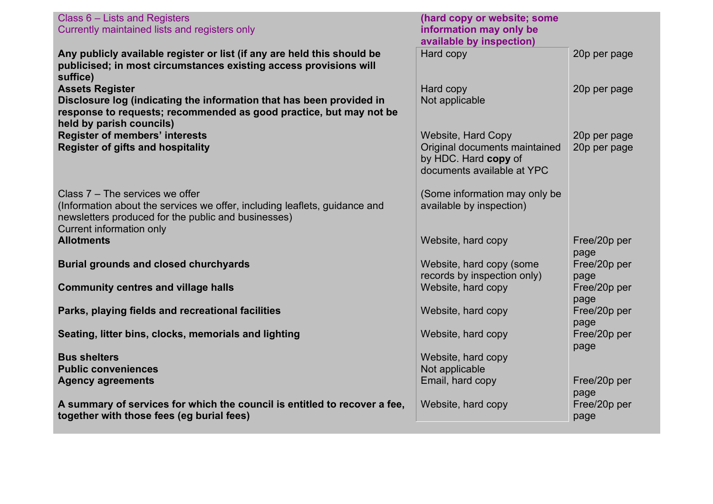| Class 6 – Lists and Registers<br>Currently maintained lists and registers only                                                                                                                            | (hard copy or website; some<br>information may only be                                                           |                              |
|-----------------------------------------------------------------------------------------------------------------------------------------------------------------------------------------------------------|------------------------------------------------------------------------------------------------------------------|------------------------------|
|                                                                                                                                                                                                           | available by inspection)                                                                                         |                              |
| Any publicly available register or list (if any are held this should be<br>publicised; in most circumstances existing access provisions will<br>suffice)                                                  | Hard copy                                                                                                        | 20p per page                 |
| <b>Assets Register</b><br>Disclosure log (indicating the information that has been provided in<br>response to requests; recommended as good practice, but may not be<br>held by parish councils)          | Hard copy<br>Not applicable                                                                                      | 20p per page                 |
| <b>Register of members' interests</b><br><b>Register of gifts and hospitality</b>                                                                                                                         | <b>Website, Hard Copy</b><br>Original documents maintained<br>by HDC. Hard copy of<br>documents available at YPC | 20p per page<br>20p per page |
| Class $7 -$ The services we offer<br>(Information about the services we offer, including leaflets, guidance and<br>newsletters produced for the public and businesses)<br><b>Current information only</b> | (Some information may only be<br>available by inspection)                                                        |                              |
| <b>Allotments</b>                                                                                                                                                                                         | Website, hard copy                                                                                               | Free/20p per<br>page         |
| <b>Burial grounds and closed churchyards</b>                                                                                                                                                              | Website, hard copy (some<br>records by inspection only)                                                          | Free/20p per<br>page         |
| <b>Community centres and village halls</b>                                                                                                                                                                | Website, hard copy                                                                                               | Free/20p per<br>page         |
| Parks, playing fields and recreational facilities                                                                                                                                                         | Website, hard copy                                                                                               | Free/20p per<br>page         |
| Seating, litter bins, clocks, memorials and lighting                                                                                                                                                      | Website, hard copy                                                                                               | Free/20p per<br>page         |
| <b>Bus shelters</b><br><b>Public conveniences</b>                                                                                                                                                         | Website, hard copy<br>Not applicable                                                                             |                              |
| <b>Agency agreements</b>                                                                                                                                                                                  | Email, hard copy                                                                                                 | Free/20p per<br>page         |
| A summary of services for which the council is entitled to recover a fee,<br>together with those fees (eg burial fees)                                                                                    | Website, hard copy                                                                                               | Free/20p per<br>page         |